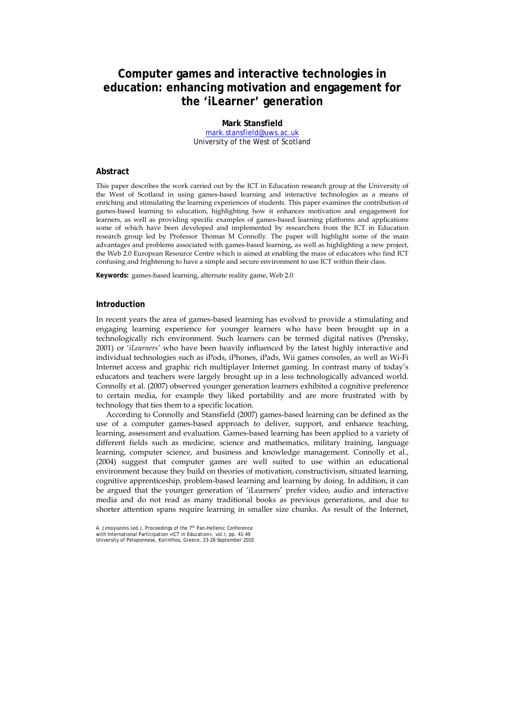# **Computer games and interactive technologies in education: enhancing motivation and engagement for the 'iLearner' generation**

## **Mark Stansfield**

mark.stansfield@uws.ac.uk University of the West of Scotland

#### **Abstract**

This paper describes the work carried out by the ICT in Education research group at the University of the West of Scotland in using games-based learning and interactive technologies as a means of enriching and stimulating the learning experiences of students. This paper examines the contribution of games-based learning to education, highlighting how it enhances motivation and engagement for learners, as well as providing specific examples of games-based learning platforms and applications some of which have been developed and implemented by researchers from the ICT in Education research group led by Professor Thomas M Connolly. The paper will highlight some of the main advantages and problems associated with games-based learning, as well as highlighting a new project, the Web 2.0 European Resource Centre which is aimed at enabling the mass of educators who find ICT confusing and frightening to have a simple and secure environment to use ICT within their class.

**Keywords:** games-based learning, alternate reality game, Web 2.0

### **Introduction**

In recent years the area of games-based learning has evolved to provide a stimulating and engaging learning experience for younger learners who have been brought up in a technologically rich environment. Such learners can be termed digital natives (Prensky, 2001) or '*iLearners'* who have been heavily influenced by the latest highly interactive and individual technologies such as iPods, iPhones, iPads, Wii games consoles, as well as Wi-Fi Internet access and graphic rich multiplayer Internet gaming. In contrast many of today's educators and teachers were largely brought up in a less technologically advanced world. Connolly et al. (2007) observed younger generation learners exhibited a cognitive preference to certain media, for example they liked portability and are more frustrated with by technology that ties them to a specific location.

According to Connolly and Stansfield (2007) games-based learning can be defined as the use of a computer games-based approach to deliver, support, and enhance teaching, learning, assessment and evaluation. Games-based learning has been applied to a variety of different fields such as medicine, science and mathematics, military training, language learning, computer science, and business and knowledge management. Connolly et al., (2004) suggest that computer games are well suited to use within an educational environment because they build on theories of motivation, constructivism, situated learning, cognitive apprenticeship, problem-based learning and learning by doing. In addition, it can be argued that the younger generation of 'iLearners' prefer video, audio and interactive media and do not read as many traditional books as previous generations, and due to shorter attention spans require learning in smaller size chunks. As result of the Internet,

A. Jimoyiannis (ed.), Proceedings of the 7<sup>th</sup> Pan-Hellenic Conference with International Participation «ICT in Education», vol.I, pp. 41-49 University of Peloponnese, Korinthos, Greece, 23-26 September 2010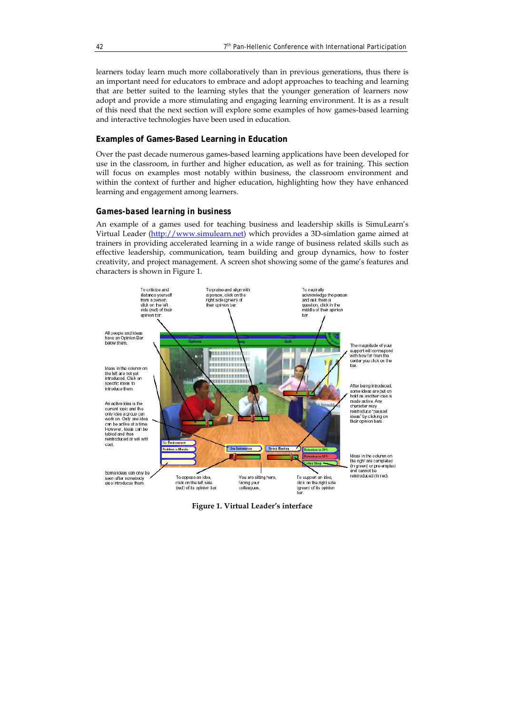learners today learn much more collaboratively than in previous generations, thus there is an important need for educators to embrace and adopt approaches to teaching and learning that are better suited to the learning styles that the younger generation of learners now adopt and provide a more stimulating and engaging learning environment. It is as a result of this need that the next section will explore some examples of how games-based learning and interactive technologies have been used in education.

## **Examples of Games-Based Learning in Education**

Over the past decade numerous games-based learning applications have been developed for use in the classroom, in further and higher education, as well as for training. This section will focus on examples most notably within business, the classroom environment and within the context of further and higher education, highlighting how they have enhanced learning and engagement among learners.

#### *Games-based learning in business*

An example of a games used for teaching business and leadership skills is SimuLearn's Virtual Leader (http://www.simulearn.net) which provides a 3D-simlation game aimed at trainers in providing accelerated learning in a wide range of business related skills such as effective leadership, communication, team building and group dynamics, how to foster creativity, and project management. A screen shot showing some of the game's features and characters is shown in Figure 1.



**Figure 1. Virtual Leader's interface**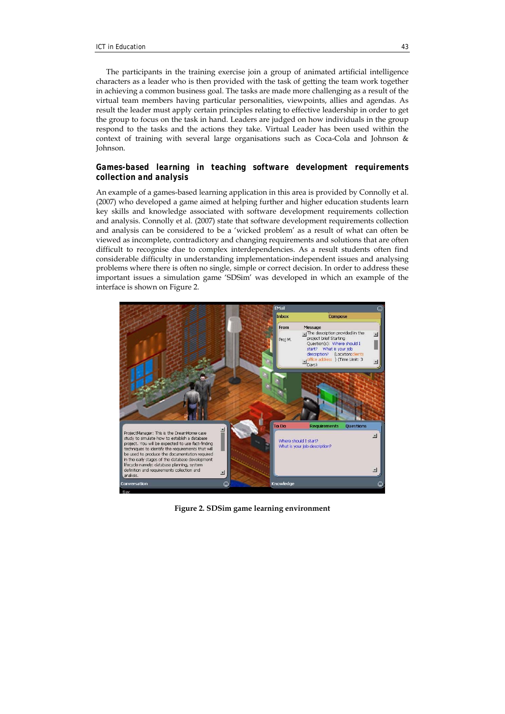The participants in the training exercise join a group of animated artificial intelligence characters as a leader who is then provided with the task of getting the team work together in achieving a common business goal. The tasks are made more challenging as a result of the virtual team members having particular personalities, viewpoints, allies and agendas. As result the leader must apply certain principles relating to effective leadership in order to get the group to focus on the task in hand. Leaders are judged on how individuals in the group respond to the tasks and the actions they take. Virtual Leader has been used within the context of training with several large organisations such as Coca-Cola and Johnson & Johnson.

## *Games-based learning in teaching software development requirements collection and analysis*

An example of a games-based learning application in this area is provided by Connolly et al. (2007) who developed a game aimed at helping further and higher education students learn key skills and knowledge associated with software development requirements collection and analysis. Connolly et al. (2007) state that software development requirements collection and analysis can be considered to be a 'wicked problem' as a result of what can often be viewed as incomplete, contradictory and changing requirements and solutions that are often difficult to recognise due to complex interdependencies. As a result students often find considerable difficulty in understanding implementation-independent issues and analysing problems where there is often no single, simple or correct decision. In order to address these important issues a simulation game 'SDSim' was developed in which an example of the interface is shown on Figure 2.



**Figure 2. SDSim game learning environment**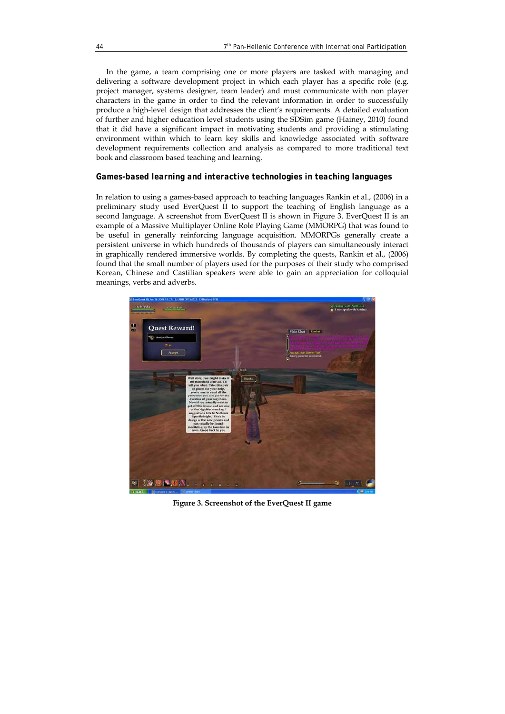In the game, a team comprising one or more players are tasked with managing and delivering a software development project in which each player has a specific role (e.g. project manager, systems designer, team leader) and must communicate with non player characters in the game in order to find the relevant information in order to successfully produce a high-level design that addresses the client's requirements. A detailed evaluation of further and higher education level students using the SDSim game (Hainey, 2010) found that it did have a significant impact in motivating students and providing a stimulating environment within which to learn key skills and knowledge associated with software development requirements collection and analysis as compared to more traditional text book and classroom based teaching and learning.

## *Games-based learning and interactive technologies in teaching languages*

In relation to using a games-based approach to teaching languages Rankin et al., (2006) in a preliminary study used EverQuest II to support the teaching of English language as a second language. A screenshot from EverQuest II is shown in Figure 3. EverQuest II is an example of a Massive Multiplayer Online Role Playing Game (MMORPG) that was found to be useful in generally reinforcing language acquisition. MMORPGs generally create a persistent universe in which hundreds of thousands of players can simultaneously interact in graphically rendered immersive worlds. By completing the quests, Rankin et al., (2006) found that the small number of players used for the purposes of their study who comprised Korean, Chinese and Castilian speakers were able to gain an appreciation for colloquial meanings, verbs and adverbs.



**Figure 3. Screenshot of the EverQuest II game**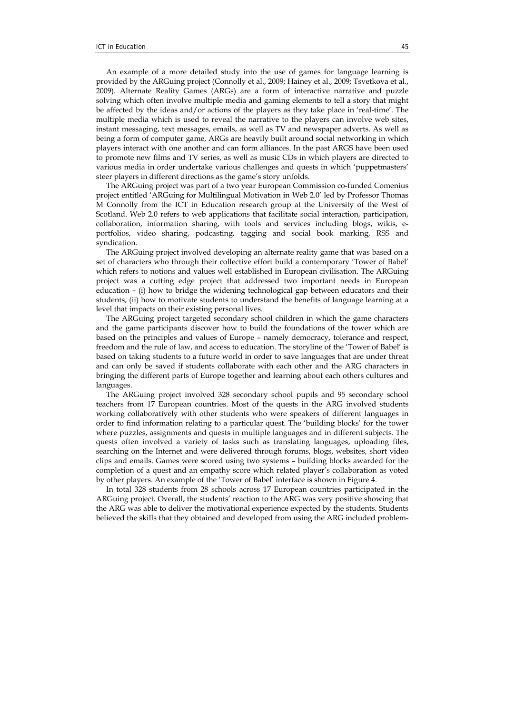An example of a more detailed study into the use of games for language learning is provided by the ARGuing project (Connolly et al., 2009; Hainey et al., 2009; Tsvetkova et al., 2009). Alternate Reality Games (ARGs) are a form of interactive narrative and puzzle solving which often involve multiple media and gaming elements to tell a story that might be affected by the ideas and/or actions of the players as they take place in 'real-time'. The multiple media which is used to reveal the narrative to the players can involve web sites, instant messaging, text messages, emails, as well as TV and newspaper adverts. As well as being a form of computer game, ARGs are heavily built around social networking in which players interact with one another and can form alliances. In the past ARGS have been used to promote new films and TV series, as well as music CDs in which players are directed to various media in order undertake various challenges and quests in which 'puppetmasters' steer players in different directions as the game's story unfolds.

The ARGuing project was part of a two year European Commission co-funded Comenius project entitled 'ARGuing for Multilingual Motivation in Web 2.0' led by Professor Thomas M Connolly from the ICT in Education research group at the University of the West of Scotland. Web 2.0 refers to web applications that facilitate social interaction, participation, collaboration, information sharing, with tools and services including blogs, wikis, eportfolios, video sharing, podcasting, tagging and social book marking, RSS and syndication.

The ARGuing project involved developing an alternate reality game that was based on a set of characters who through their collective effort build a contemporary 'Tower of Babel' which refers to notions and values well established in European civilisation. The ARGuing project was a cutting edge project that addressed two important needs in European education – (i) how to bridge the widening technological gap between educators and their students, (ii) how to motivate students to understand the benefits of language learning at a level that impacts on their existing personal lives.

The ARGuing project targeted secondary school children in which the game characters and the game participants discover how to build the foundations of the tower which are based on the principles and values of Europe – namely democracy, tolerance and respect, freedom and the rule of law, and access to education. The storyline of the 'Tower of Babel' is based on taking students to a future world in order to save languages that are under threat and can only be saved if students collaborate with each other and the ARG characters in bringing the different parts of Europe together and learning about each others cultures and languages.

The ARGuing project involved 328 secondary school pupils and 95 secondary school teachers from 17 European countries. Most of the quests in the ARG involved students working collaboratively with other students who were speakers of different languages in order to find information relating to a particular quest. The 'building blocks' for the tower where puzzles, assignments and quests in multiple languages and in different subjects. The quests often involved a variety of tasks such as translating languages, uploading files, searching on the Internet and were delivered through forums, blogs, websites, short video clips and emails. Games were scored using two systems – building blocks awarded for the completion of a quest and an empathy score which related player's collaboration as voted by other players. An example of the 'Tower of Babel' interface is shown in Figure 4.

In total 328 students from 28 schools across 17 European countries participated in the ARGuing project. Overall, the students' reaction to the ARG was very positive showing that the ARG was able to deliver the motivational experience expected by the students. Students believed the skills that they obtained and developed from using the ARG included problem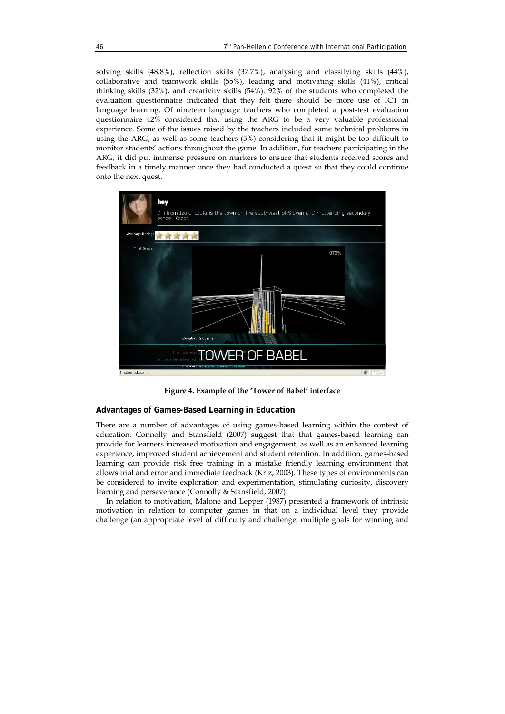solving skills (48.8%), reflection skills (37.7%), analysing and classifying skills (44%), collaborative and teamwork skills (55%), leading and motivating skills (41%), critical thinking skills (32%), and creativity skills (54%). 92% of the students who completed the evaluation questionnaire indicated that they felt there should be more use of ICT in language learning. Of nineteen language teachers who completed a post-test evaluation questionnaire 42% considered that using the ARG to be a very valuable professional experience. Some of the issues raised by the teachers included some technical problems in using the ARG, as well as some teachers (5%) considering that it might be too difficult to monitor students' actions throughout the game. In addition, for teachers participating in the ARG, it did put immense pressure on markers to ensure that students received scores and feedback in a timely manner once they had conducted a quest so that they could continue onto the next quest.



**Figure 4. Example of the 'Tower of Babel' interface** 

#### **Advantages of Games-Based Learning in Education**

There are a number of advantages of using games-based learning within the context of education. Connolly and Stansfield (2007) suggest that that games-based learning can provide for learners increased motivation and engagement, as well as an enhanced learning experience, improved student achievement and student retention. In addition, games-based learning can provide risk free training in a mistake friendly learning environment that allows trial and error and immediate feedback (Kriz, 2003). These types of environments can be considered to invite exploration and experimentation, stimulating curiosity, discovery learning and perseverance (Connolly & Stansfield, 2007).

In relation to motivation, Malone and Lepper (1987) presented a framework of intrinsic motivation in relation to computer games in that on a individual level they provide challenge (an appropriate level of difficulty and challenge, multiple goals for winning and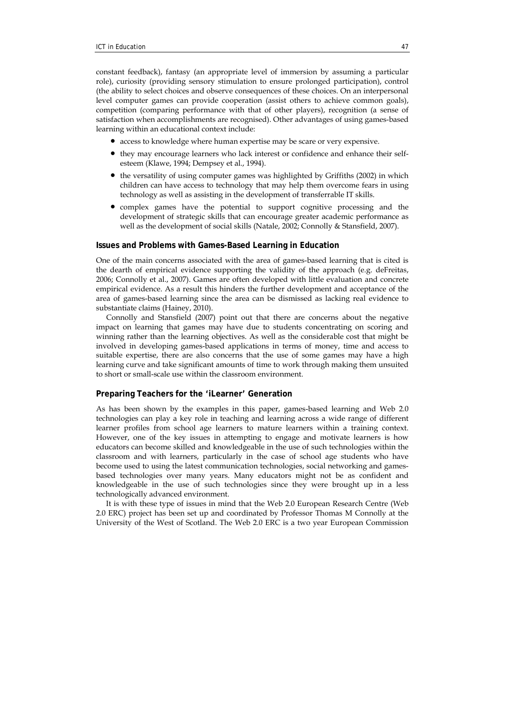constant feedback), fantasy (an appropriate level of immersion by assuming a particular role), curiosity (providing sensory stimulation to ensure prolonged participation), control (the ability to select choices and observe consequences of these choices. On an interpersonal level computer games can provide cooperation (assist others to achieve common goals), competition (comparing performance with that of other players), recognition (a sense of satisfaction when accomplishments are recognised). Other advantages of using games-based learning within an educational context include:

- access to knowledge where human expertise may be scare or very expensive.
- they may encourage learners who lack interest or confidence and enhance their selfesteem (Klawe, 1994; Dempsey et al., 1994).
- the versatility of using computer games was highlighted by Griffiths (2002) in which children can have access to technology that may help them overcome fears in using technology as well as assisting in the development of transferrable IT skills.
- complex games have the potential to support cognitive processing and the development of strategic skills that can encourage greater academic performance as well as the development of social skills (Natale, 2002; Connolly & Stansfield, 2007).

## **Issues and Problems with Games-Based Learning in Education**

One of the main concerns associated with the area of games-based learning that is cited is the dearth of empirical evidence supporting the validity of the approach (e.g. deFreitas, 2006; Connolly et al., 2007). Games are often developed with little evaluation and concrete empirical evidence. As a result this hinders the further development and acceptance of the area of games-based learning since the area can be dismissed as lacking real evidence to substantiate claims (Hainey, 2010).

Connolly and Stansfield (2007) point out that there are concerns about the negative impact on learning that games may have due to students concentrating on scoring and winning rather than the learning objectives. As well as the considerable cost that might be involved in developing games-based applications in terms of money, time and access to suitable expertise, there are also concerns that the use of some games may have a high learning curve and take significant amounts of time to work through making them unsuited to short or small-scale use within the classroom environment.

### **Preparing Teachers for the 'iLearner' Generation**

As has been shown by the examples in this paper, games-based learning and Web 2.0 technologies can play a key role in teaching and learning across a wide range of different learner profiles from school age learners to mature learners within a training context. However, one of the key issues in attempting to engage and motivate learners is how educators can become skilled and knowledgeable in the use of such technologies within the classroom and with learners, particularly in the case of school age students who have become used to using the latest communication technologies, social networking and gamesbased technologies over many years. Many educators might not be as confident and knowledgeable in the use of such technologies since they were brought up in a less technologically advanced environment.

It is with these type of issues in mind that the Web 2.0 European Research Centre (Web 2.0 ERC) project has been set up and coordinated by Professor Thomas M Connolly at the University of the West of Scotland. The Web 2.0 ERC is a two year European Commission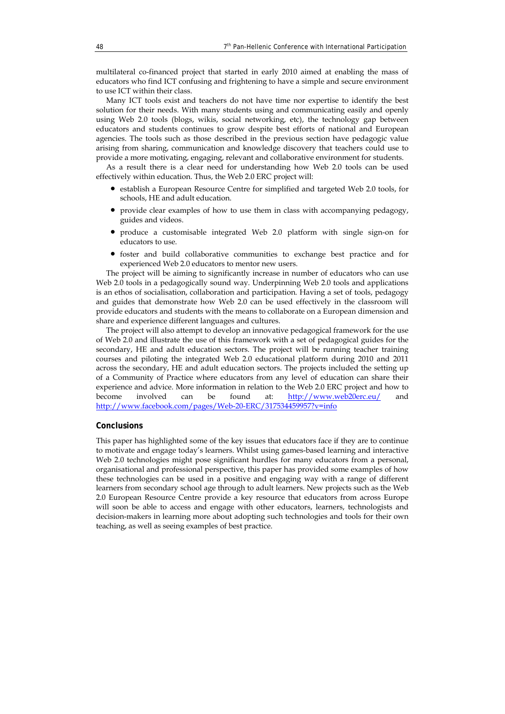multilateral co-financed project that started in early 2010 aimed at enabling the mass of educators who find ICT confusing and frightening to have a simple and secure environment to use ICT within their class.

Many ICT tools exist and teachers do not have time nor expertise to identify the best solution for their needs. With many students using and communicating easily and openly using Web 2.0 tools (blogs, wikis, social networking, etc), the technology gap between educators and students continues to grow despite best efforts of national and European agencies. The tools such as those described in the previous section have pedagogic value arising from sharing, communication and knowledge discovery that teachers could use to provide a more motivating, engaging, relevant and collaborative environment for students.

As a result there is a clear need for understanding how Web 2.0 tools can be used effectively within education. Thus, the Web 2.0 ERC project will:

- establish a European Resource Centre for simplified and targeted Web 2.0 tools, for schools, HE and adult education.
- provide clear examples of how to use them in class with accompanying pedagogy, guides and videos.
- produce a customisable integrated Web 2.0 platform with single sign-on for educators to use.
- foster and build collaborative communities to exchange best practice and for experienced Web 2.0 educators to mentor new users.

The project will be aiming to significantly increase in number of educators who can use Web 2.0 tools in a pedagogically sound way. Underpinning Web 2.0 tools and applications is an ethos of socialisation, collaboration and participation. Having a set of tools, pedagogy and guides that demonstrate how Web 2.0 can be used effectively in the classroom will provide educators and students with the means to collaborate on a European dimension and share and experience different languages and cultures.

The project will also attempt to develop an innovative pedagogical framework for the use of Web 2.0 and illustrate the use of this framework with a set of pedagogical guides for the secondary, HE and adult education sectors. The project will be running teacher training courses and piloting the integrated Web 2.0 educational platform during 2010 and 2011 across the secondary, HE and adult education sectors. The projects included the setting up of a Community of Practice where educators from any level of education can share their experience and advice. More information in relation to the Web 2.0 ERC project and how to become involved can be found at: http://www.web20erc.eu/ and http://www.facebook.com/pages/Web-20-ERC/317534459957?v=info

### **Conclusions**

This paper has highlighted some of the key issues that educators face if they are to continue to motivate and engage today's learners. Whilst using games-based learning and interactive Web 2.0 technologies might pose significant hurdles for many educators from a personal, organisational and professional perspective, this paper has provided some examples of how these technologies can be used in a positive and engaging way with a range of different learners from secondary school age through to adult learners. New projects such as the Web 2.0 European Resource Centre provide a key resource that educators from across Europe will soon be able to access and engage with other educators, learners, technologists and decision-makers in learning more about adopting such technologies and tools for their own teaching, as well as seeing examples of best practice.